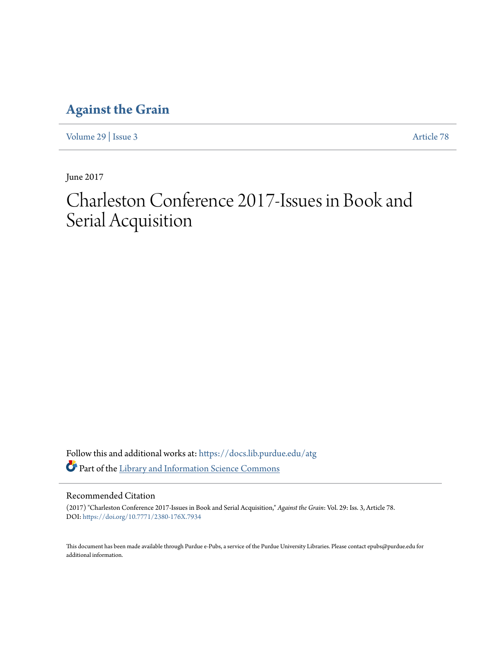### **[Against the Grain](https://docs.lib.purdue.edu/atg?utm_source=docs.lib.purdue.edu%2Fatg%2Fvol29%2Fiss3%2F78&utm_medium=PDF&utm_campaign=PDFCoverPages)**

[Volume 29](https://docs.lib.purdue.edu/atg/vol29?utm_source=docs.lib.purdue.edu%2Fatg%2Fvol29%2Fiss3%2F78&utm_medium=PDF&utm_campaign=PDFCoverPages) | [Issue 3](https://docs.lib.purdue.edu/atg/vol29/iss3?utm_source=docs.lib.purdue.edu%2Fatg%2Fvol29%2Fiss3%2F78&utm_medium=PDF&utm_campaign=PDFCoverPages) [Article 78](https://docs.lib.purdue.edu/atg/vol29/iss3/78?utm_source=docs.lib.purdue.edu%2Fatg%2Fvol29%2Fiss3%2F78&utm_medium=PDF&utm_campaign=PDFCoverPages)

June 2017

# Charleston Conference 2017-Issues in Book and Serial Acquisition

Follow this and additional works at: [https://docs.lib.purdue.edu/atg](https://docs.lib.purdue.edu/atg?utm_source=docs.lib.purdue.edu%2Fatg%2Fvol29%2Fiss3%2F78&utm_medium=PDF&utm_campaign=PDFCoverPages) Part of the [Library and Information Science Commons](http://network.bepress.com/hgg/discipline/1018?utm_source=docs.lib.purdue.edu%2Fatg%2Fvol29%2Fiss3%2F78&utm_medium=PDF&utm_campaign=PDFCoverPages)

### Recommended Citation

(2017) "Charleston Conference 2017-Issues in Book and Serial Acquisition," *Against the Grain*: Vol. 29: Iss. 3, Article 78. DOI: <https://doi.org/10.7771/2380-176X.7934>

This document has been made available through Purdue e-Pubs, a service of the Purdue University Libraries. Please contact epubs@purdue.edu for additional information.